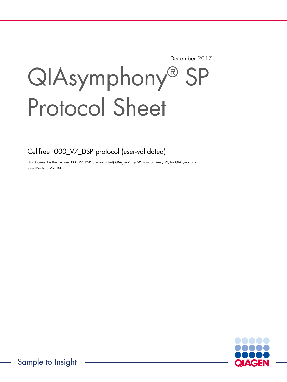December 2017

# QIAsymphony® SP Protocol Sheet

Cellfree1000\_V7\_DSP protocol (user-validated)

This document is the Cellfree1000\_V7\_DSP (user-validated) QIAsymphony SP Protocol Sheet, R2, for QIAsymphony Virus/Bacteria Midi Kit.

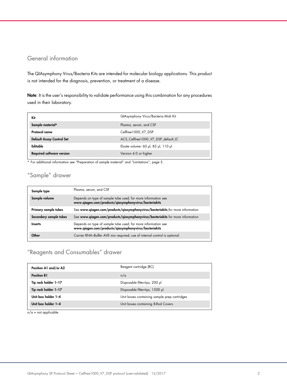## General information

The QIAsymphony Virus/Bacteria Kits are intended for molecular biology applications. This product is not intended for the diagnosis, prevention, or treatment of a disease.

Note: It is the user's responsibility to validate performance using this combination for any procedures used in their laboratory.

| Kit                              | QIAsymphony Virus/Bacteria Midi Kit |
|----------------------------------|-------------------------------------|
| Sample material*                 | Plasma, serum, and CSF              |
| Protocol name                    | Cellfree1000 V7 DSP                 |
| Default Assay Control Set        | ACS Cellfree 1000 V7 DSP default IC |
| Editable                         | Eluate volume: 60 µl, 85 µl, 110 µl |
| <b>Required software version</b> | Version 4.0 or higher               |

\* For additional information see "Preparation of sample material" and "Limitations", page 5.

# "Sample" drawer

| Sample type            | Plasma, serum, and CSF                                                                                                 |
|------------------------|------------------------------------------------------------------------------------------------------------------------|
| Sample volume          | Depends on type of sample tube used; for more information see<br>www.qiagen.com/products/qiasymphonyvirus/bacteriakits |
| Primary sample tubes   | See www.qiagen.com/products/qiasymphonyvirus/bacteriakits for more information                                         |
| Secondary sample tubes | See www.qiagen.com/products/qiasymphonyvirus/bacteriakits for more information                                         |
| <b>Inserts</b>         | Depends on type of sample tube used; for more information see<br>www.qiagen.com/products/qiasymphonyvirus/bacteriakits |
| Other                  | Carrier RNA-Buffer AVE mix required; use of internal control is optional                                               |

# "Reagents and Consumables" drawer

| Position A1 and/or A2 | Reagent cartridge (RC)                       |  |
|-----------------------|----------------------------------------------|--|
| <b>Position B1</b>    | n/a                                          |  |
| Tip rack holder 1-17  | Disposable filter-tips, 200 µl               |  |
| Tip rack holder 1-17  | Disposable filter-tips, 1500 µl              |  |
| Unit box holder 1-4   | Unit boxes containing sample prep cartridges |  |
| Unit box holder 1-4   | Unit boxes containing 8-Rod Covers           |  |

 $n/a = not applicable.$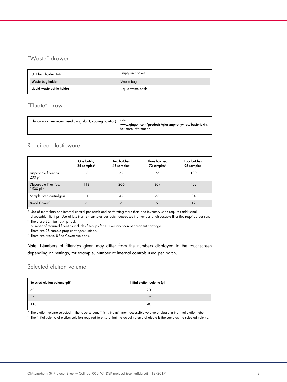# "Waste" drawer

| Unit box holder 1-4        | Empty unit boxes    |
|----------------------------|---------------------|
| Waste bag holder           | Waste bag           |
| Liquid waste bottle holder | Liquid waste bottle |

# "Eluate" drawer

| Elution rack (we recommend using slot 1, cooling position)<br><b>See</b><br>www.qiagen.com/products/qiasymphonyvirus/bacteriakits<br>for more information |
|-----------------------------------------------------------------------------------------------------------------------------------------------------------|
|-----------------------------------------------------------------------------------------------------------------------------------------------------------|

## Required plasticware

|                                                    | One batch,<br>24 samples* | Two batches,<br>48 samples* | Three batches,<br>72 samples* | Four batches,<br>96 samples* |
|----------------------------------------------------|---------------------------|-----------------------------|-------------------------------|------------------------------|
| Disposable filter-tips,<br>$200 \mu$ <sup>++</sup> | 28                        | 52                          | 76                            | 100                          |
| Disposable filter-tips,<br>1500 µl <sup>tt</sup>   | 113                       | 206                         | 309                           | 402                          |
| Sample prep cartridges <sup>§</sup>                | 21                        | 42                          | 63                            | 84                           |
| 8-Rod Covers <sup>1</sup>                          | 3                         | 6                           | 9                             | 12                           |

\* Use of more than one internal control per batch and performing more than one inventory scan requires additional

disposable filter-tips. Use of less than 24 samples per batch decreases the number of disposable filter-tips required per run. † There are 32 filter-tips/tip rack.

‡ Number of required filter-tips includes filter-tips for 1 inventory scan per reagent cartridge.

§ There are 28 sample prep cartridges/unit box.

¶ There are twelve 8-Rod Covers/unit box.

Note: Numbers of filter-tips given may differ from the numbers displayed in the touchscreen depending on settings, for example, number of internal controls used per batch.

## Selected elution volume

| Selected elution volume (µl)* | Initial elution volume $(\mu I)^+$ |  |
|-------------------------------|------------------------------------|--|
| 60                            | 90                                 |  |
| 85                            | 115                                |  |
| 110                           | 140                                |  |

\* The elution volume selected in the touchscreen. This is the minimum accessible volume of eluate in the final elution tube.

 $\dagger$  The initial volume of elution solution required to ensure that the actual volume of eluate is the same as the selected volume.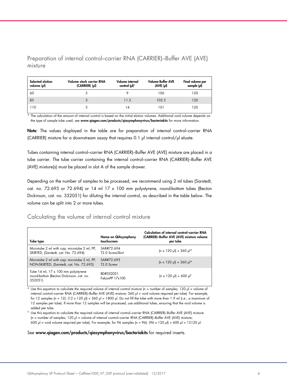Preparation of internal control–carrier RNA (CARRIER)–Buffer AVE (AVE) mixture

| Selected elution<br>volume (µl) | Volume stock carrier RNA<br>(CARRIER) (pl) | Volume internal<br>control $(\mu$ <sup>*</sup> | <b>Volume Buffer AVE</b><br>$(AVE)$ $(µ)$ | Final volume per<br>sample (µl) |
|---------------------------------|--------------------------------------------|------------------------------------------------|-------------------------------------------|---------------------------------|
| 60                              |                                            |                                                | 106                                       | 120                             |
| 85                              | 5                                          | 11.5                                           | 103.5                                     | 120                             |
| 110                             |                                            | 14                                             | 101                                       | 120                             |

\* The calculation of the amount of internal control is based on the initial elution volumes. Additional void volume depends on the type of sample tube used; see www.qiagen.com/products/qiasymphonyvirus/bacteriakits for more information.

Note: The values displayed in the table are for preparation of internal control-carrier RNA (CARRIER) mixture for a downstream assay that requires 0.1 µl internal control/µl eluate.

Tubes containing internal control–carrier RNA (CARRIER)–Buffer AVE (AVE) mixture are placed in a tube carrier. The tube carrier containing the internal control–carrier RNA (CARRIER)–Buffer AVE (AVE) mixture(s) must be placed in slot A of the sample drawer.

Depending on the number of samples to be processed, we recommend using 2 ml tubes (Sarstedt, cat. no. 72.693 or 72.694) or 14 ml 17 x 100 mm polystyrene, round-bottom tubes (Becton Dickinson, cat. no. 352051) for diluting the internal control, as described in the table below. The volume can be split into 2 or more tubes.

## Calculating the volume of internal control mixture

| Tube type                                                                                  | Name on QIAsymphony<br>touchscreen   | Calculation of internal control-carrier RNA<br>(CARRIER)-Buffer AVE (AVE) mixture volume<br>per tube |
|--------------------------------------------------------------------------------------------|--------------------------------------|------------------------------------------------------------------------------------------------------|
| Microtube 2 ml with cap; microtube 2 ml, PP,<br>SKIRTED, (Sarstedt, cat. No. 72.694)       | SAR#72.694<br>T2.0 ScrewSkirt        | $(n \times 120 \text{ pl}) + 360 \text{ pl}$ *                                                       |
| Microtube 2 ml with cap; microtube 2 ml, PP,<br>NON-SKIRTED, (Sarstedt, cat. No. 72.693)   | SAR#72 693<br>T <sub>2.0</sub> Screw | $(n \times 120 \text{ pl}) + 360 \text{ pl}$ *                                                       |
| Tube 14 ml, 17 x 100 mm polystyrene<br>round-bottom (Becton Dickinson, cat. no.<br>352051) | BD#352051<br>FalconPP 17x100         | $(n \times 120 \text{ pl}) + 600 \text{ pl}$                                                         |

Use this equation to calculate the required volume of internal control mixture (n = number of samples; 120  $\mu$  = volume of internal control–carrier RNA (CARRIER)–Buffer AVE (AVE) mixture; 360 µl = void volume required per tube). For example, for 12 samples (n = 12):  $(12 \times 120 \text{ µ}) + 360 \text{ µ}$  = 1800  $\text{µ}$ . Do not fill the tube with more than 1.9 ml (i.e., a maximum of 12 samples per tube). If more than 12 samples will be processed, use additional tubes, ensuring that the void volume is added per tube.

 $^\dagger$  Use this equation to calculate the required volume of internal control–carrier RNA (CARRIER)–Buffer AVE (AVE) mixture (n = number of samples; 120 µl = volume of internal control–carrier RNA (CARRIER)–Buffer AVE (AVE) mixture; 600 µl = void volume required per tube). For example, for 96 samples (n = 96): (96 x 120 µl) + 600 µl = 12120 µl.

#### See www.qiagen.com/products/qiasymphonyvirus/bacteriakits for required inserts.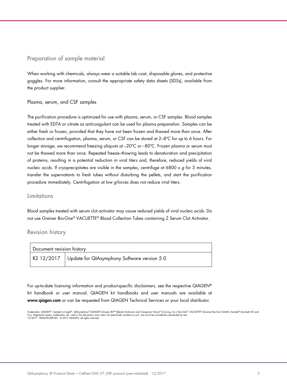## Preparation of sample material

When working with chemicals, always wear a suitable lab coat, disposable gloves, and protective goggles. For more information, consult the appropriate safety data sheets (SDSs), available from the product supplier.

#### Plasma, serum, and CSF samples

The purification procedure is optimized for use with plasma, serum, or CSF samples. Blood samples treated with EDTA or citrate as anticoagulant can be used for plasma preparation. Samples can be either fresh or frozen, provided that they have not been frozen and thawed more than once. After collection and centrifugation, plasma, serum, or CSF can be stored at 2–8ºC for up to 6 hours. For longer storage, we recommend freezing aliquots at –20ºC or –80ºC. Frozen plasma or serum must not be thawed more than once. Repeated freeze–thawing leads to denaturation and precipitation of proteins, resulting in a potential reduction in viral titers and, therefore, reduced yields of viral nucleic acids. If cryoprecipitates are visible in the samples, centrifuge at 6800 x  $g$  for 3 minutes, transfer the supernatants to fresh tubes without disturbing the pellets, and start the purification procedure immediately. Centrifugation at low g-forces does not reduce viral titers.

### Limitations

Blood samples treated with serum clot activator may cause reduced yields of viral nucleic acids. Do not use Greiner Bio-One® VACUETTE® Blood Collection Tubes containing Z Serum Clot Activator.

### Revision history

| Document revision history |                                                        |  |
|---------------------------|--------------------------------------------------------|--|
|                           | R2 12/2017 Update for QIAsymphony Software version 5.0 |  |

For up-to-date licensing information and product-specific disclaimers, see the respective QIAGEN® kit handbook or user manual. QIAGEN kit handbooks and user manuals are available at www.qiagen.com or can be requested from QIAGEN Technical Services or your local distributor.

Trademarks: QIAGEN®, Sample to Insight®, QIAsymphony® (QIAGEN Group); BD™ (Becton Dickinson and Company); Falcon® (Corning, Inc.); Bio-One®, VACUETTE® (Greiner Bio-One GmbH); Sarstedt® (Sarstedt AG and<br>Co.). Registered na 12/2017 HB-0678-S09-001 © 2017 QIAGEN, all rights reserved.